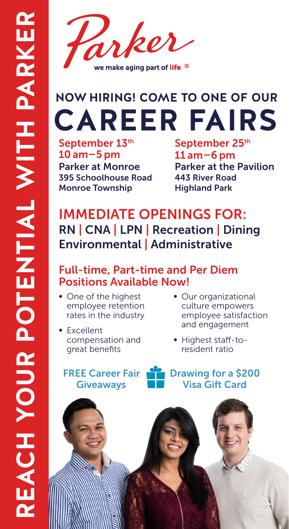

## **CAREER FAIRS**

September 13th 10 am–5 pm Parker at Monroe 395 Schoolhouse Road Monroe Township

September 25<sup>th</sup> 11 am–6 pm Parker at the Pavilion 443 River Road Highland Park

## IMMEDIATE OPENINGS FOR: RN | CNA | LPN | Recreation | Dining Environmental | Administrative

## Full-time, Part-time and Per Diem Positions Available Now!

- One of the highest employee retention rates in the industry
- Excellent compensation and great benefits

FREE Career Fair Giveaways

- Our organizational culture empowers employee satisfaction and engagement
- Highest staff-toresident ratio

Drawing for a \$200 Visa Gift Card